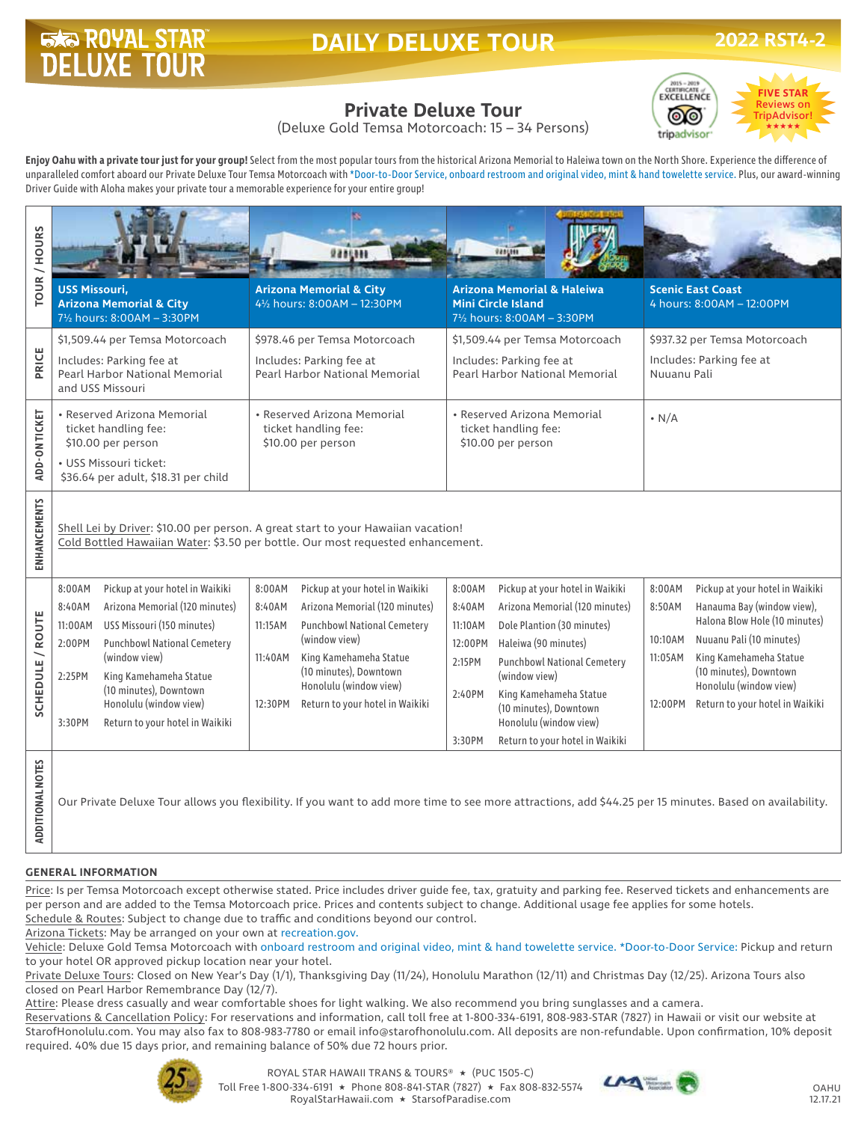# **ROYAL STAR**

# **DAILY DELUXE TOUR**



# **Private Deluxe Tour**

(Deluxe Gold Temsa Motorcoach: 15 – 34 Persons)

**Enjoy Oahu with a private tour just for your group!** Select from the most popular tours from the historical Arizona Memorial to Haleiwa town on the North Shore. Experience the difference of unparalleled comfort aboard our Private Deluxe Tour Temsa Motorcoach with \*Door-to-Door Service, onboard restroom and original video, mint & hand towelette service. Plus, our award-winning Driver Guide with Aloha makes your private tour a memorable experience for your entire group!

| TOUR / HOURS        |                                                                                                                                                                      |                                                                                                                                                          |                                                                                                   |                                                                       |
|---------------------|----------------------------------------------------------------------------------------------------------------------------------------------------------------------|----------------------------------------------------------------------------------------------------------------------------------------------------------|---------------------------------------------------------------------------------------------------|-----------------------------------------------------------------------|
|                     | <b>USS Missouri,</b><br><b>Arizona Memorial &amp; City</b><br>71/2 hours: 8:00AM - 3:30PM                                                                            | <b>Arizona Memorial &amp; City</b><br>41/2 hours: 8:00AM - 12:30PM                                                                                       | <b>Arizona Memorial &amp; Haleiwa</b><br><b>Mini Circle Island</b><br>71/2 hours: 8:00AM - 3:30PM | <b>Scenic East Coast</b><br>4 hours: 8:00AM - 12:00PM                 |
| PRICE               | \$1,509.44 per Temsa Motorcoach                                                                                                                                      | \$978.46 per Temsa Motorcoach                                                                                                                            | \$1,509.44 per Temsa Motorcoach                                                                   | \$937.32 per Temsa Motorcoach                                         |
|                     | Includes: Parking fee at<br>Pearl Harbor National Memorial<br>and USS Missouri                                                                                       | Includes: Parking fee at<br>Pearl Harbor National Memorial                                                                                               | Includes: Parking fee at<br>Pearl Harbor National Memorial                                        | Includes: Parking fee at<br>Nuuanu Pali                               |
| ADD-ON TICKET       | • Reserved Arizona Memorial<br>ticket handling fee:<br>\$10.00 per person                                                                                            | • Reserved Arizona Memorial<br>ticket handling fee:<br>\$10.00 per person                                                                                | • Reserved Arizona Memorial<br>ticket handling fee:<br>\$10.00 per person                         | $\cdot$ N/A                                                           |
|                     | • USS Missouri ticket:<br>\$36.64 per adult, \$18.31 per child                                                                                                       |                                                                                                                                                          |                                                                                                   |                                                                       |
| <b>ENHANCEMENTS</b> | Shell Lei by Driver: \$10.00 per person. A great start to your Hawaiian vacation!<br>Cold Bottled Hawaiian Water: \$3.50 per bottle. Our most requested enhancement. |                                                                                                                                                          |                                                                                                   |                                                                       |
|                     | Pickup at your hotel in Waikiki<br>8:00AM                                                                                                                            | 8:00AM<br>Pickup at your hotel in Waikiki                                                                                                                | 8:00AM<br>Pickup at your hotel in Waikiki                                                         | Pickup at your hotel in Waikiki<br>8:00AM                             |
| SCHEDULE / ROUTE    | Arizona Memorial (120 minutes)<br>8:40AM<br>USS Missouri (150 minutes)<br>11:00AM                                                                                    | 8:40AM<br>Arizona Memorial (120 minutes)<br>11:15AM<br><b>Punchbowl National Cemetery</b>                                                                | 8:40AM<br>Arizona Memorial (120 minutes)<br>Dole Plantion (30 minutes)<br>11:10AM                 | 8:50AM<br>Hanauma Bay (window view),<br>Halona Blow Hole (10 minutes) |
|                     | <b>Punchbowl National Cemetery</b><br>2:00PM                                                                                                                         | (window view)                                                                                                                                            | Haleiwa (90 minutes)<br>12:00PM                                                                   | Nuuanu Pali (10 minutes)<br>10:10AM                                   |
|                     | (window view)                                                                                                                                                        | King Kamehameha Statue<br>11:40AM<br>(10 minutes), Downtown                                                                                              | <b>Punchbowl National Cemetery</b><br>2:15PM                                                      | King Kamehameha Statue<br>11:05AM<br>(10 minutes), Downtown           |
|                     | 2:25PM<br>King Kamehameha Statue<br>(10 minutes), Downtown                                                                                                           | Honolulu (window view)                                                                                                                                   | (window view)<br>2:40PM<br>King Kamehameha Statue                                                 | Honolulu (window view)                                                |
|                     | Honolulu (window view)<br>3:30PM<br>Return to your hotel in Waikiki                                                                                                  | 12:30PM<br>Return to your hotel in Waikiki                                                                                                               | (10 minutes), Downtown<br>Honolulu (window view)                                                  | Return to your hotel in Waikiki<br>12:00PM                            |
|                     |                                                                                                                                                                      |                                                                                                                                                          | 3:30PM<br>Return to your hotel in Waikiki                                                         |                                                                       |
| ADDITIONAL NOTES    |                                                                                                                                                                      | Our Private Deluxe Tour allows you flexibility. If you want to add more time to see more attractions, add \$44.25 per 15 minutes. Based on availability. |                                                                                                   |                                                                       |

#### **GENERAL INFORMATION**

Price: Is per Temsa Motorcoach except otherwise stated. Price includes driver guide fee, tax, gratuity and parking fee. Reserved tickets and enhancements are per person and are added to the Temsa Motorcoach price. Prices and contents subject to change. Additional usage fee applies for some hotels. Schedule & Routes: Subject to change due to traffic and conditions beyond our control.

Arizona Tickets: May be arranged on your own at recreation.gov.

Vehicle: Deluxe Gold Temsa Motorcoach with onboard restroom and original video, mint & hand towelette service. \*Door-to-Door Service: Pickup and return to your hotel OR approved pickup location near your hotel.

Private Deluxe Tours: Closed on New Year's Day (1/1), Thanksgiving Day (11/24), Honolulu Marathon (12/11) and Christmas Day (12/25). Arizona Tours also closed on Pearl Harbor Remembrance Day (12/7).

Attire: Please dress casually and wear comfortable shoes for light walking. We also recommend you bring sunglasses and a camera.

Reservations & Cancellation Policy: For reservations and information, call toll free at 1-800-334-6191, 808-983-STAR (7827) in Hawaii or visit our website at StarofHonolulu.com. You may also fax to 808-983-7780 or email info@starofhonolulu.com. All deposits are non-refundable. Upon confirmation, 10% deposit required. 40% due 15 days prior, and remaining balance of 50% due 72 hours prior.



ROYAL STAR HAWAII TRANS & TOURS® ★ (PUC 1505-C) Toll Free 1-800-334-6191 ★ Phone 808-841-STAR (7827) ★ Fax 808-832-5574 RoyalStarHawaii.com ★ StarsofParadise.com